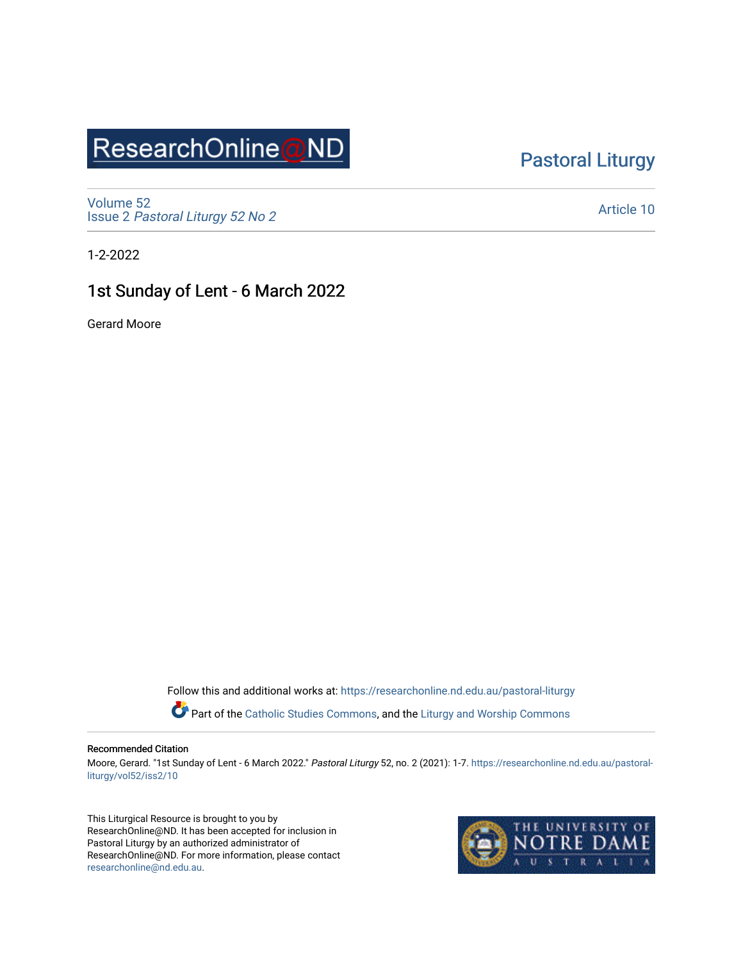# ResearchOnline@ND

## [Pastoral Liturgy](https://researchonline.nd.edu.au/pastoral-liturgy)

[Volume 52](https://researchonline.nd.edu.au/pastoral-liturgy/vol52) Issue 2 [Pastoral Liturgy 52 No 2](https://researchonline.nd.edu.au/pastoral-liturgy/vol52/iss2)

[Article 10](https://researchonline.nd.edu.au/pastoral-liturgy/vol52/iss2/10) 

1-2-2022

## 1st Sunday of Lent - 6 March 2022

Gerard Moore

Follow this and additional works at: [https://researchonline.nd.edu.au/pastoral-liturgy](https://researchonline.nd.edu.au/pastoral-liturgy?utm_source=researchonline.nd.edu.au%2Fpastoral-liturgy%2Fvol52%2Fiss2%2F10&utm_medium=PDF&utm_campaign=PDFCoverPages)

Part of the [Catholic Studies Commons,](http://network.bepress.com/hgg/discipline/1294?utm_source=researchonline.nd.edu.au%2Fpastoral-liturgy%2Fvol52%2Fiss2%2F10&utm_medium=PDF&utm_campaign=PDFCoverPages) and the Liturgy and Worship Commons

#### Recommended Citation

Moore, Gerard. "1st Sunday of Lent - 6 March 2022." Pastoral Liturgy 52, no. 2 (2021): 1-7. [https://researchonline.nd.edu.au/pastoral](https://researchonline.nd.edu.au/pastoral-liturgy/vol52/iss2/10?utm_source=researchonline.nd.edu.au%2Fpastoral-liturgy%2Fvol52%2Fiss2%2F10&utm_medium=PDF&utm_campaign=PDFCoverPages)[liturgy/vol52/iss2/10](https://researchonline.nd.edu.au/pastoral-liturgy/vol52/iss2/10?utm_source=researchonline.nd.edu.au%2Fpastoral-liturgy%2Fvol52%2Fiss2%2F10&utm_medium=PDF&utm_campaign=PDFCoverPages) 

This Liturgical Resource is brought to you by ResearchOnline@ND. It has been accepted for inclusion in Pastoral Liturgy by an authorized administrator of ResearchOnline@ND. For more information, please contact [researchonline@nd.edu.au.](mailto:researchonline@nd.edu.au)

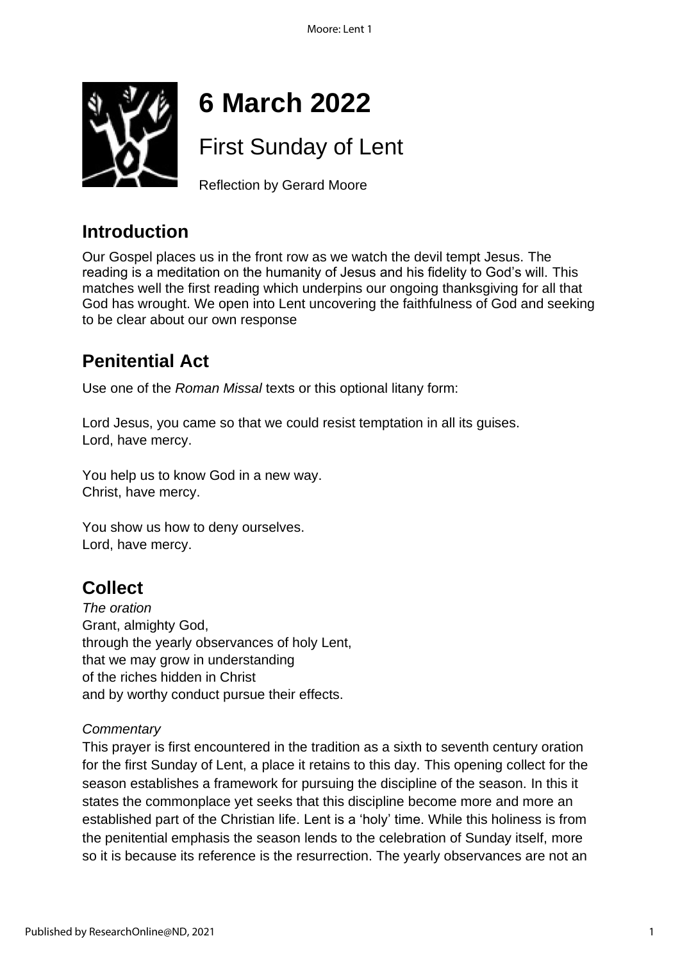

# **6 March 2022**

# First Sunday of Lent

Reflection by Gerard Moore

## **Introduction**

Our Gospel places us in the front row as we watch the devil tempt Jesus. The reading is a meditation on the humanity of Jesus and his fidelity to God's will. This matches well the first reading which underpins our ongoing thanksgiving for all that God has wrought. We open into Lent uncovering the faithfulness of God and seeking to be clear about our own response

## **Penitential Act**

Use one of the *Roman Missal* texts or this optional litany form:

Lord Jesus, you came so that we could resist temptation in all its guises. Lord, have mercy.

You help us to know God in a new way. Christ, have mercy.

You show us how to deny ourselves. Lord, have mercy.

## **Collect**

*The oration* Grant, almighty God, through the yearly observances of holy Lent, that we may grow in understanding of the riches hidden in Christ and by worthy conduct pursue their effects.

## *Commentary*

This prayer is first encountered in the tradition as a sixth to seventh century oration for the first Sunday of Lent, a place it retains to this day. This opening collect for the season establishes a framework for pursuing the discipline of the season. In this it states the commonplace yet seeks that this discipline become more and more an established part of the Christian life. Lent is a 'holy' time. While this holiness is from the penitential emphasis the season lends to the celebration of Sunday itself, more so it is because its reference is the resurrection. The yearly observances are not an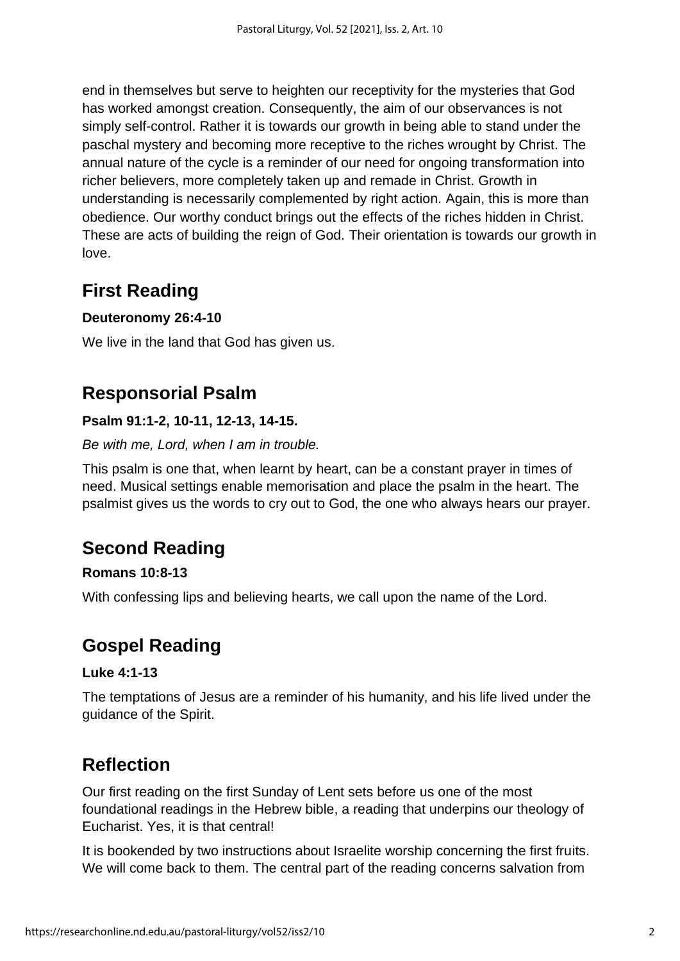end in themselves but serve to heighten our receptivity for the mysteries that God has worked amongst creation. Consequently, the aim of our observances is not simply self-control. Rather it is towards our growth in being able to stand under the paschal mystery and becoming more receptive to the riches wrought by Christ. The annual nature of the cycle is a reminder of our need for ongoing transformation into richer believers, more completely taken up and remade in Christ. Growth in understanding is necessarily complemented by right action. Again, this is more than obedience. Our worthy conduct brings out the effects of the riches hidden in Christ. These are acts of building the reign of God. Their orientation is towards our growth in love.

## **First Reading**

## **Deuteronomy 26:4-10**

We live in the land that God has given us.

## **Responsorial Psalm**

### **Psalm 91:1-2, 10-11, 12-13, 14-15.**

#### *Be with me, Lord, when I am in trouble.*

This psalm is one that, when learnt by heart, can be a constant prayer in times of need. Musical settings enable memorisation and place the psalm in the heart. The psalmist gives us the words to cry out to God, the one who always hears our prayer.

## **Second Reading**

### **Romans 10:8-13**

With confessing lips and believing hearts, we call upon the name of the Lord.

## **Gospel Reading**

### **Luke 4:1-13**

The temptations of Jesus are a reminder of his humanity, and his life lived under the guidance of the Spirit.

## **Reflection**

Our first reading on the first Sunday of Lent sets before us one of the most foundational readings in the Hebrew bible, a reading that underpins our theology of Eucharist. Yes, it is that central!

It is bookended by two instructions about Israelite worship concerning the first fruits. We will come back to them. The central part of the reading concerns salvation from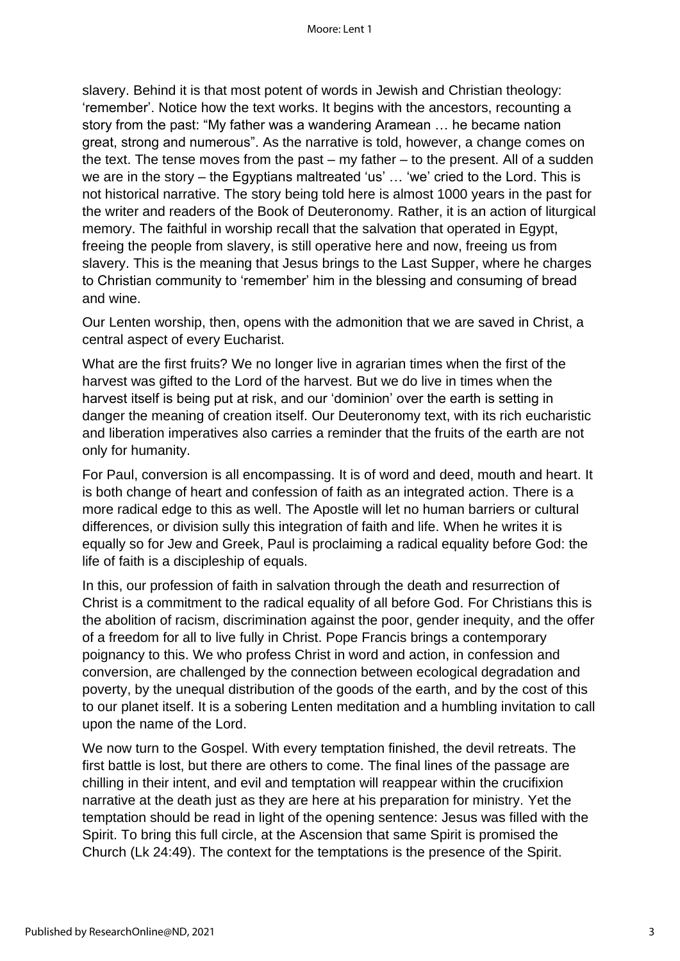slavery. Behind it is that most potent of words in Jewish and Christian theology: 'remember'. Notice how the text works. It begins with the ancestors, recounting a story from the past: "My father was a wandering Aramean … he became nation great, strong and numerous". As the narrative is told, however, a change comes on the text. The tense moves from the past – my father – to the present. All of a sudden we are in the story – the Egyptians maltreated 'us' … 'we' cried to the Lord. This is not historical narrative. The story being told here is almost 1000 years in the past for the writer and readers of the Book of Deuteronomy. Rather, it is an action of liturgical memory. The faithful in worship recall that the salvation that operated in Egypt, freeing the people from slavery, is still operative here and now, freeing us from slavery. This is the meaning that Jesus brings to the Last Supper, where he charges to Christian community to 'remember' him in the blessing and consuming of bread and wine.

Our Lenten worship, then, opens with the admonition that we are saved in Christ, a central aspect of every Eucharist.

What are the first fruits? We no longer live in agrarian times when the first of the harvest was gifted to the Lord of the harvest. But we do live in times when the harvest itself is being put at risk, and our 'dominion' over the earth is setting in danger the meaning of creation itself. Our Deuteronomy text, with its rich eucharistic and liberation imperatives also carries a reminder that the fruits of the earth are not only for humanity.

For Paul, conversion is all encompassing. It is of word and deed, mouth and heart. It is both change of heart and confession of faith as an integrated action. There is a more radical edge to this as well. The Apostle will let no human barriers or cultural differences, or division sully this integration of faith and life. When he writes it is equally so for Jew and Greek, Paul is proclaiming a radical equality before God: the life of faith is a discipleship of equals.

In this, our profession of faith in salvation through the death and resurrection of Christ is a commitment to the radical equality of all before God. For Christians this is the abolition of racism, discrimination against the poor, gender inequity, and the offer of a freedom for all to live fully in Christ. Pope Francis brings a contemporary poignancy to this. We who profess Christ in word and action, in confession and conversion, are challenged by the connection between ecological degradation and poverty, by the unequal distribution of the goods of the earth, and by the cost of this to our planet itself. It is a sobering Lenten meditation and a humbling invitation to call upon the name of the Lord.

We now turn to the Gospel. With every temptation finished, the devil retreats. The first battle is lost, but there are others to come. The final lines of the passage are chilling in their intent, and evil and temptation will reappear within the crucifixion narrative at the death just as they are here at his preparation for ministry. Yet the temptation should be read in light of the opening sentence: Jesus was filled with the Spirit. To bring this full circle, at the Ascension that same Spirit is promised the Church (Lk 24:49). The context for the temptations is the presence of the Spirit.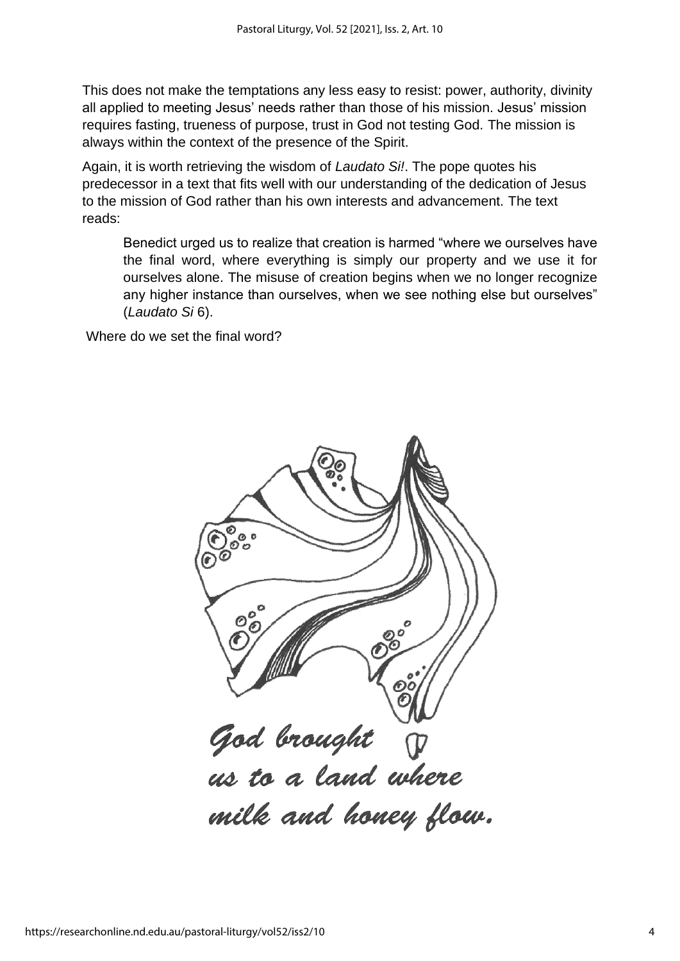This does not make the temptations any less easy to resist: power, authority, divinity all applied to meeting Jesus' needs rather than those of his mission. Jesus' mission requires fasting, trueness of purpose, trust in God not testing God. The mission is always within the context of the presence of the Spirit.

Again, it is worth retrieving the wisdom of *Laudato Si!*. The pope quotes his predecessor in a text that fits well with our understanding of the dedication of Jesus to the mission of God rather than his own interests and advancement. The text reads:

Benedict urged us to realize that creation is harmed "where we ourselves have the final word, where everything is simply our property and we use it for ourselves alone. The misuse of creation begins when we no longer recognize any higher instance than ourselves, when we see nothing else but ourselves" (*Laudato Si* 6).

Where do we set the final word?

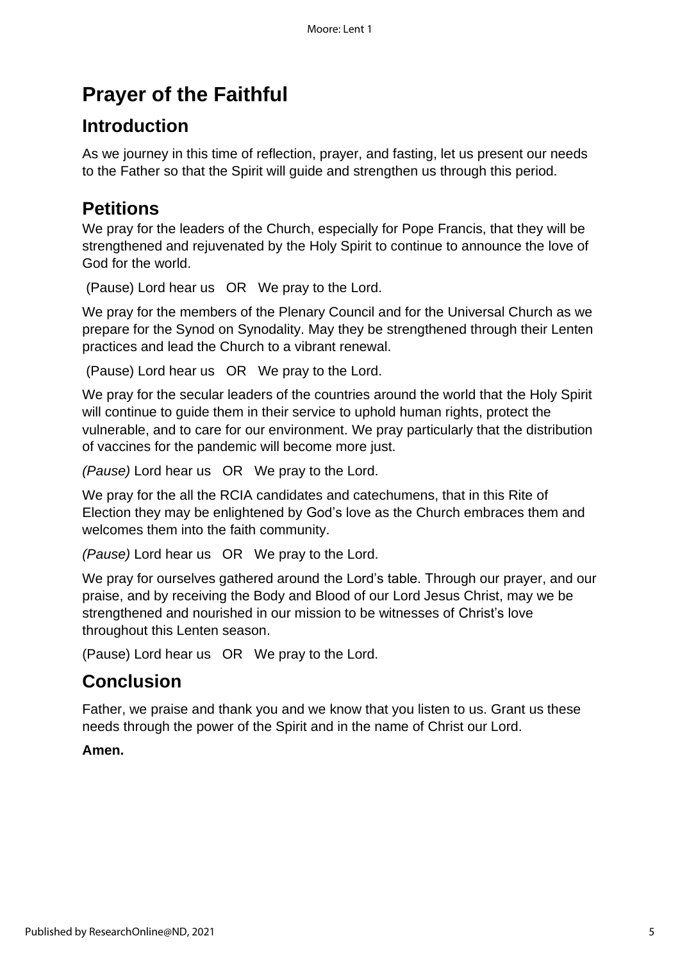# **Prayer of the Faithful**

## **Introduction**

As we journey in this time of reflection, prayer, and fasting, let us present our needs to the Father so that the Spirit will guide and strengthen us through this period.

## **Petitions**

We pray for the leaders of the Church, especially for Pope Francis, that they will be strengthened and rejuvenated by the Holy Spirit to continue to announce the love of God for the world.

(Pause) Lord hear us OR We pray to the Lord.

We pray for the members of the Plenary Council and for the Universal Church as we prepare for the Synod on Synodality. May they be strengthened through their Lenten practices and lead the Church to a vibrant renewal.

(Pause) Lord hear us OR We pray to the Lord.

We pray for the secular leaders of the countries around the world that the Holy Spirit will continue to guide them in their service to uphold human rights, protect the vulnerable, and to care for our environment. We pray particularly that the distribution of vaccines for the pandemic will become more just.

*(Pause)* Lord hear us OR We pray to the Lord.

We pray for the all the RCIA candidates and catechumens, that in this Rite of Election they may be enlightened by God's love as the Church embraces them and welcomes them into the faith community.

*(Pause)* Lord hear us OR We pray to the Lord.

We pray for ourselves gathered around the Lord's table. Through our prayer, and our praise, and by receiving the Body and Blood of our Lord Jesus Christ, may we be strengthened and nourished in our mission to be witnesses of Christ's love throughout this Lenten season.

(Pause) Lord hear us OR We pray to the Lord.

## **Conclusion**

Father, we praise and thank you and we know that you listen to us. Grant us these needs through the power of the Spirit and in the name of Christ our Lord.

### **Amen.**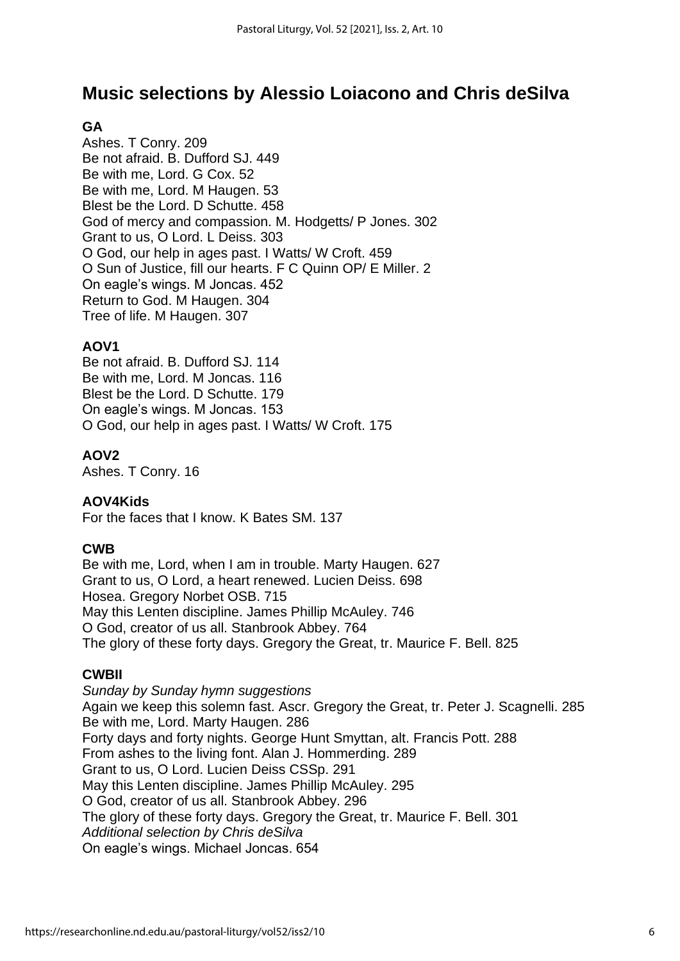## **Music selections by Alessio Loiacono and Chris deSilva**

## **GA**

Ashes. T Conry. 209 Be not afraid. B. Dufford SJ. 449 Be with me, Lord. G Cox. 52 Be with me, Lord. M Haugen. 53 Blest be the Lord. D Schutte. 458 God of mercy and compassion. M. Hodgetts/ P Jones. 302 Grant to us, O Lord. L Deiss. 303 O God, our help in ages past. I Watts/ W Croft. 459 O Sun of Justice, fill our hearts. F C Quinn OP/ E Miller. 2 On eagle's wings. M Joncas. 452 Return to God. M Haugen. 304 Tree of life. M Haugen. 307

#### **AOV1**

Be not afraid. B. Dufford SJ. 114 Be with me, Lord. M Joncas. 116 Blest be the Lord. D Schutte. 179 On eagle's wings. M Joncas. 153 O God, our help in ages past. I Watts/ W Croft. 175

#### **AOV2**

Ashes. T Conry. 16

#### **AOV4Kids**

For the faces that I know. K Bates SM. 137

#### **CWB**

Be with me, Lord, when I am in trouble. Marty Haugen. 627 Grant to us, O Lord, a heart renewed. Lucien Deiss. 698 Hosea. Gregory Norbet OSB. 715 May this Lenten discipline. James Phillip McAuley. 746 O God, creator of us all. Stanbrook Abbey. 764 The glory of these forty days. Gregory the Great, tr. Maurice F. Bell. 825

### **CWBII**

*Sunday by Sunday hymn suggestions* Again we keep this solemn fast. Ascr. Gregory the Great, tr. Peter J. Scagnelli. 285 Be with me, Lord. Marty Haugen. 286 Forty days and forty nights. George Hunt Smyttan, alt. Francis Pott. 288 From ashes to the living font. Alan J. Hommerding. 289 Grant to us, O Lord. Lucien Deiss CSSp. 291 May this Lenten discipline. James Phillip McAuley. 295 O God, creator of us all. Stanbrook Abbey. 296 The glory of these forty days. Gregory the Great, tr. Maurice F. Bell. 301 *Additional selection by Chris deSilva* On eagle's wings. Michael Joncas. 654